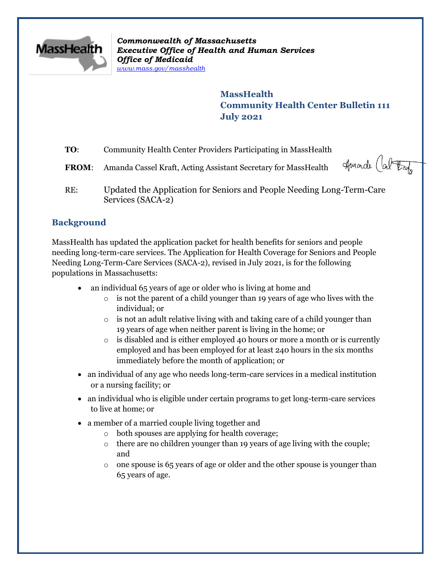

*Commonwealth of Massachusetts Executive Office of Health and Human Services Office of Medicaid [www.mass.gov/masshealth](http://www.mass.gov/masshealth)*

> **MassHealth Community Health Center Bulletin 111 July 2021**

- **TO:** Community Health Center Providers Participating in MassHealth
- **FROM:** Amanda Cassel Kraft, Acting Assistant Secretary for MassHealth

Amarde Car tax

RE: Updated the Application for Seniors and People Needing Long-Term-Care Services (SACA-2)

## **Background**

MassHealth has updated the application packet for health benefits for seniors and people needing long-term-care services. The Application for Health Coverage for Seniors and People Needing Long-Term-Care Services (SACA-2), revised in July 2021, is for the following populations in Massachusetts:

- an individual 65 years of age or older who is living at home and
	- o is not the parent of a child younger than 19 years of age who lives with the individual; or
	- o is not an adult relative living with and taking care of a child younger than 19 years of age when neither parent is living in the home; or
	- $\circ$  is disabled and is either employed 40 hours or more a month or is currently employed and has been employed for at least 240 hours in the six months immediately before the month of application; or
- an individual of any age who needs long-term-care services in a medical institution or a nursing facility; or
- an individual who is eligible under certain programs to get long-term-care services to live at home; or
- a member of a married couple living together and
	- o both spouses are applying for health coverage;
	- o there are no children younger than 19 years of age living with the couple; and
	- $\circ$  one spouse is 65 years of age or older and the other spouse is younger than 65 years of age.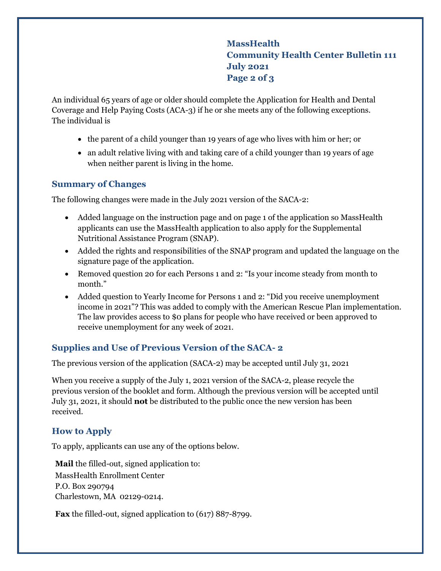# **MassHealth Community Health Center Bulletin 111 July 2021 Page 2 of 3**

An individual 65 years of age or older should complete the Application for Health and Dental Coverage and Help Paying Costs (ACA-3) if he or she meets any of the following exceptions. The individual is

- the parent of a child younger than 19 years of age who lives with him or her; or
- an adult relative living with and taking care of a child younger than 19 years of age when neither parent is living in the home.

#### **Summary of Changes**

The following changes were made in the July 2021 version of the SACA-2:

- Added language on the instruction page and on page 1 of the application so MassHealth applicants can use the MassHealth application to also apply for the Supplemental Nutritional Assistance Program (SNAP).
- Added the rights and responsibilities of the SNAP program and updated the language on the signature page of the application.
- Removed question 20 for each Persons 1 and 2: "Is your income steady from month to month."
- Added question to Yearly Income for Persons 1 and 2: "Did you receive unemployment income in 2021"? This was added to comply with the American Rescue Plan implementation. The law provides access to \$0 plans for people who have received or been approved to receive unemployment for any week of 2021.

## **Supplies and Use of Previous Version of the SACA- 2**

The previous version of the application (SACA-2) may be accepted until July 31, 2021

When you receive a supply of the July 1, 2021 version of the SACA-2, please recycle the previous version of the booklet and form. Although the previous version will be accepted until July 31, 2021, it should **not** be distributed to the public once the new version has been received.

# **How to Apply**

To apply, applicants can use any of the options below.

**Mail** the filled-out, signed application to: MassHealth Enrollment Center P.O. Box 290794 Charlestown, MA 02129-0214.

**Fax** the filled-out, signed application to (617) 887-8799.